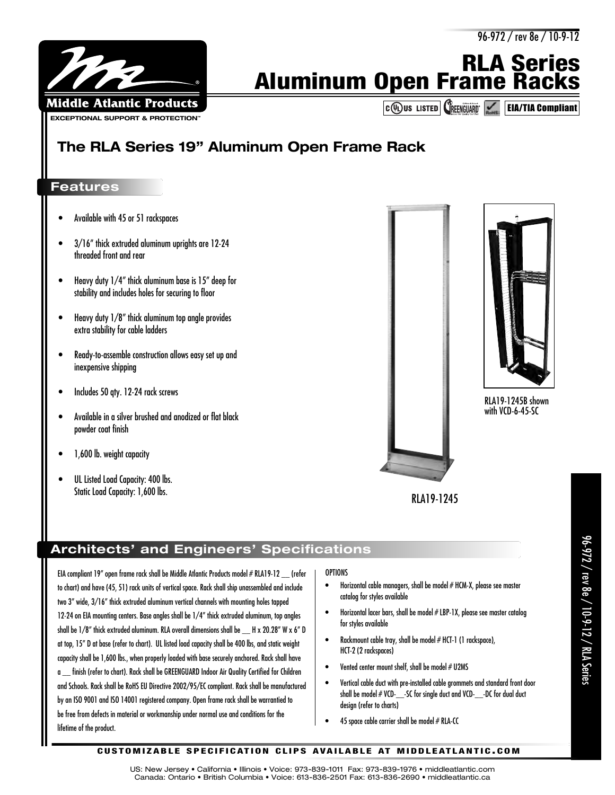



**RLA Series Aluminum Open Frame Racks**

> $\boxed{\text{C}(\text{V})}$ us Listed $\boxed{\text{C}}$ reenguard<sup>®</sup> EIA/TIA Compliant

# **The RLA Series 19" Aluminum Open Frame Rack**

#### **Features**

- Available with 45 or 51 rackspaces
- 3/16" thick extruded aluminum uprights are 12-24 threaded front and rear
- Heavy duty 1/4" thick aluminum base is 15" deep for stability and includes holes for securing to floor
- Heavy duty 1/8" thick aluminum top angle provides extra stability for cable ladders
- Ready-to-assemble construction allows easy set up and inexpensive shipping
- Includes 50 qty. 12-24 rack screws
- Available in a silver brushed and anodized or flat black powder coat finish
- 1,600 lb. weight capacity
- UL Listed Load Capacity: 400 lbs. Static Load Capacity: 1,600 lbs.



RLA19-1245B shown with VCD-6-45-SC

RLA19-1245

### **Architects' and Engineers' Specifications**

EIA compliant 19" open frame rack shall be Middle Atlantic Products model # RLA19-12 \_\_ (refer to chart) and have (45, 51) rack units of vertical space. Rack shall ship unassembled and include two 3" wide, 3/16" thick extruded aluminum vertical channels with mounting holes tapped 12-24 on EIA mounting centers. Base angles shall be 1/4" thick extruded aluminum, top angles shall be 1/8" thick extruded aluminum. RLA overall dimensions shall be \_\_ H x 20.28" W x 6" D at top, 15" D at base (refer to chart). UL listed load capacity shall be 400 lbs, and static weight capacity shall be 1,600 lbs., when properly loaded with base securely anchored. Rack shall have a \_\_ finish (refer to chart). Rack shall be GREENGUARD Indoor Air Quality Certified for Children and Schools. Rack shall be RoHS EU Directive 2002/95/EC compliant. Rack shall be manufactured by an ISO 9001 and ISO 14001 registered company. Open frame rack shall be warrantied to be free from defects in material or workmanship under normal use and conditions for the lifetime of the product.

#### **OPTIONS**

- Horizontal cable managers, shall be model # HCM-X, please see master catalog for styles available
- Horizontal lacer bars, shall be model # LBP-1X, please see master catalog for styles available
- Rackmount cable tray, shall be model # HCT-1 (1 rackspace), HCT-2 (2 rackspaces)
- Vented center mount shelf, shall be model # U2MS
- Vertical cable duct with pre-installed cable grommets and standard front door shall be model # VCD-\_\_-SC for single duct and VCD-\_\_-DC for dual duct design (refer to charts)
- 45 space cable carrier shall be model  $#$  RLA-CC

#### **C U S TO M I Z A B L E S P E C I F I C AT I O N C L I P S AVA I L A B L E AT M I D D L E AT L A N T I C . C O M**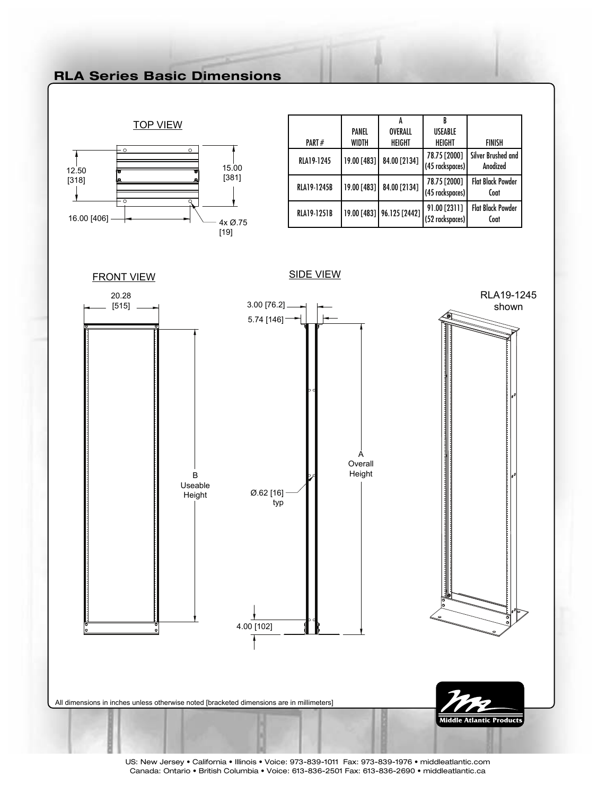## **RLA Series Basic Dimensions**

TOP VIEW



|                    | <b>PANEL</b>  | <b>OVERALL</b>            | <b>USEABLE</b>                  |                                  |
|--------------------|---------------|---------------------------|---------------------------------|----------------------------------|
| PART#              | WIDTH         | <b>HEIGHT</b>             | <b>HEIGHT</b>                   | <b>FINISH</b>                    |
| <b>RLA19-1245</b>  | $19.00$ [483] | 84.00 [2134]              | 78.75 [2000]<br>(45 rackspaces) | Silver Brushed and<br>Anodized   |
| <b>RLA19-1245B</b> | 19.00 [483]   | 84.00 [2134]              | 78.75 [2000]<br>(45 rackspaces) | <b>Flat Black Powder</b><br>Coat |
| <b>RLA19-1251B</b> |               | 19.00 [483] 96.125 [2442] | 91.00 [2311]<br>(52 rackspaces) | <b>Flat Black Powder</b><br>Coat |



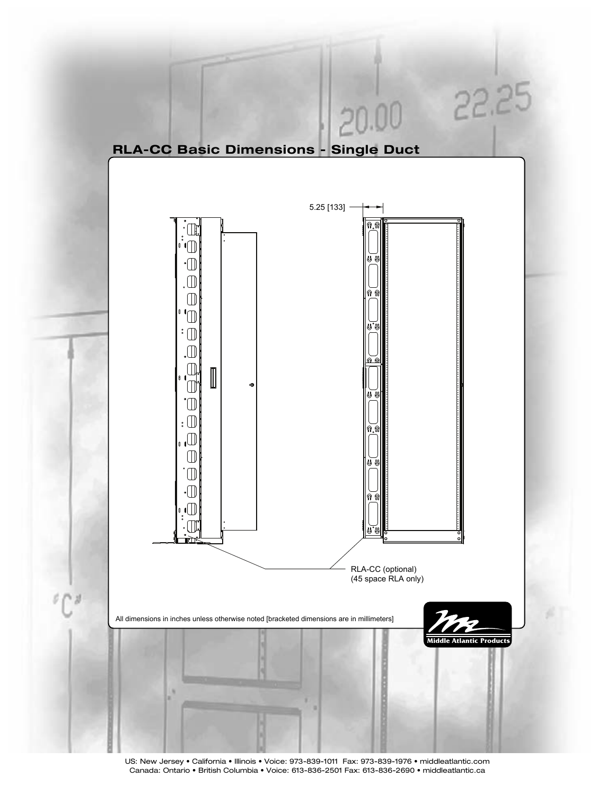$20.00 22.25$ **RLA-CC Basic Dimensions - Single Duct** 5.25 [133]<u>of</u> 11  $\cdot \Box$ Œ  $\Box$  $\mathbb{T}$  $\Box$  $\mathbb D.$ UI U  $\Box$ ò 'M M  $\mathbb T$  $\Box$ M  $\sqrt{ }$ RLA-CC (optional) (45 space RLA only) All dimensions in inches unless otherwise noted [bracketed dimensions are in millimeters] **Middle Atlantic Products**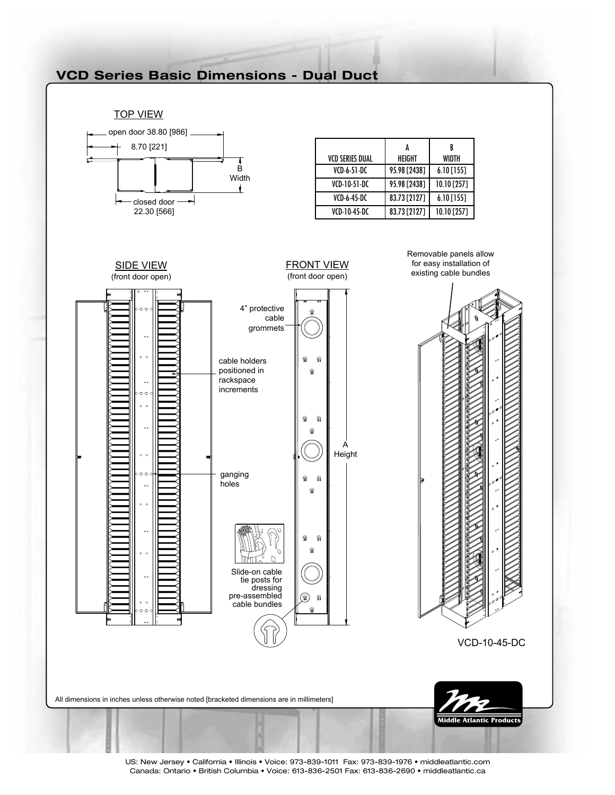## **VCD Series Basic Dimensions - Dual Duct**